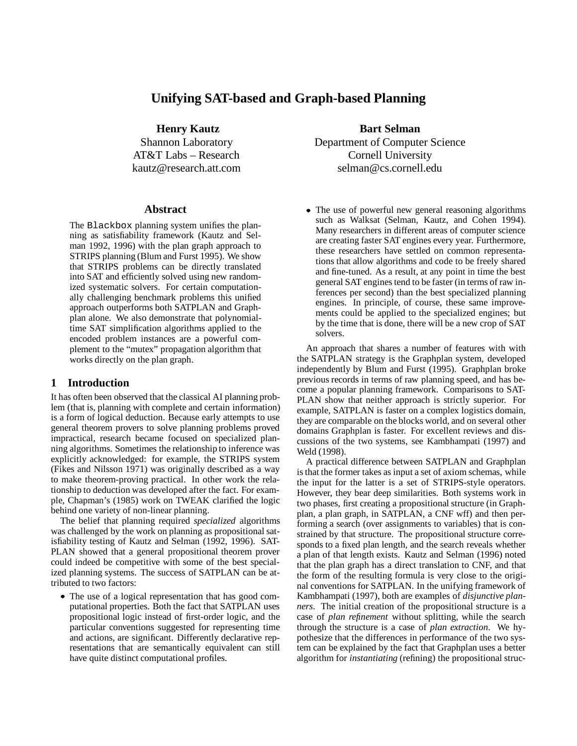# **Unifying SAT-based and Graph-based Planning**

**Henry Kautz**

Shannon Laboratory AT&T Labs – Research kautz@research.att.com

#### **Abstract**

The Blackbox planning system unifies the planning as satisfiability framework (Kautz and Selman 1992, 1996) with the plan graph approach to STRIPS planning (Blum and Furst 1995). We show that STRIPS problems can be directly translated into SAT and efficiently solved using new randomized systematic solvers. For certain computationally challenging benchmark problems this unified approach outperforms both SATPLAN and Graphplan alone. We also demonstrate that polynomialtime SAT simplification algorithms applied to the encoded problem instances are a powerful complement to the "mutex" propagation algorithm that works directly on the plan graph.

#### **1 Introduction**

It has often been observed that the classical AI planning problem (that is, planning with complete and certain information) is a form of logical deduction. Because early attempts to use general theorem provers to solve planning problems proved impractical, research became focused on specialized planning algorithms. Sometimes the relationship to inference was explicitly acknowledged: for example, the STRIPS system (Fikes and Nilsson 1971) was originally described as a way to make theorem-proving practical. In other work the relationship to deduction was developed after the fact. For example, Chapman's (1985) work on TWEAK clarified the logic behind one variety of non-linear planning.

The belief that planning required *specialized* algorithms was challenged by the work on planning as propositional satisfiability testing of Kautz and Selman (1992, 1996). SAT-PLAN showed that a general propositional theorem prover could indeed be competitive with some of the best specialized planning systems. The success of SATPLAN can be attributed to two factors:

 The use of a logical representation that has good computational properties. Both the fact that SATPLAN uses propositional logic instead of first-order logic, and the particular conventions suggested for representing time and actions, are significant. Differently declarative representations that are semantically equivalent can still have quite distinct computational profiles.

**Bart Selman** Department of Computer Science Cornell University selman@cs.cornell.edu

 The use of powerful new general reasoning algorithms such as Walksat (Selman, Kautz, and Cohen 1994). Many researchers in different areas of computer science are creating faster SAT engines every year. Furthermore, these researchers have settled on common representations that allow algorithms and code to be freely shared and fine-tuned. As a result, at any point in time the best general SAT engines tend to be faster (in terms of raw inferences per second) than the best specialized planning engines. In principle, of course, these same improvements could be applied to the specialized engines; but by the time that is done, there will be a new crop of SAT solvers.

An approach that shares a number of features with with the SATPLAN strategy is the Graphplan system, developed independently by Blum and Furst (1995). Graphplan broke previous records in terms of raw planning speed, and has become a popular planning framework. Comparisons to SAT-PLAN show that neither approach is strictly superior. For example, SATPLAN is faster on a complex logistics domain, they are comparable on the blocks world, and on several other domains Graphplan is faster. For excellent reviews and discussions of the two systems, see Kambhampati (1997) and Weld (1998).

A practical difference between SATPLAN and Graphplan is that the former takes as input a set of axiom schemas, while the input for the latter is a set of STRIPS-style operators. However, they bear deep similarities. Both systems work in two phases, first creating a propositional structure (in Graphplan, a plan graph, in SATPLAN, a CNF wff) and then performing a search (over assignments to variables) that is constrained by that structure. The propositional structure corresponds to a fixed plan length, and the search reveals whether a plan of that length exists. Kautz and Selman (1996) noted that the plan graph has a direct translation to CNF, and that the form of the resulting formula is very close to the original conventions for SATPLAN. In the unifying framework of Kambhampati (1997), both are examples of *disjunctive planners*. The initial creation of the propositional structure is a case of *plan refinement* without splitting, while the search through the structure is a case of *plan extraction*. We hypothesize that the differences in performance of the two system can be explained by the fact that Graphplan uses a better algorithm for *instantiating* (refining) the propositional struc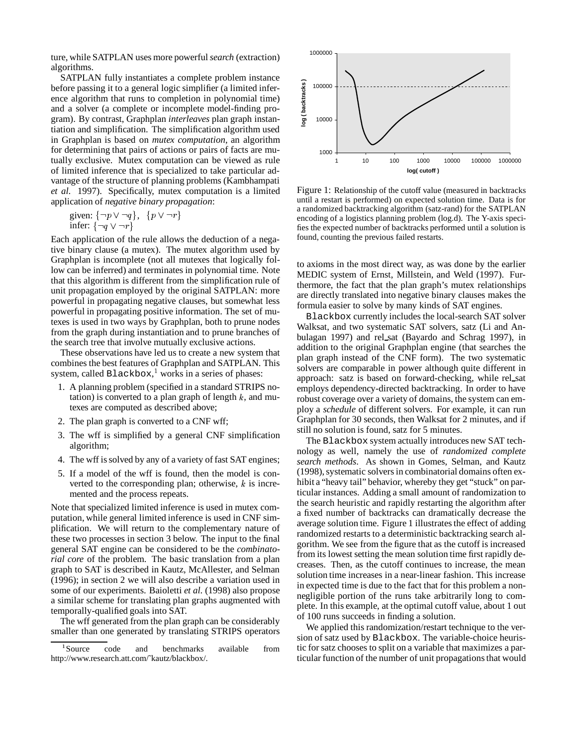ture, while SATPLAN uses more powerful*search* (extraction) algorithms.

SATPLAN fully instantiates a complete problem instance before passing it to a general logic simplifier (a limited inference algorithm that runs to completion in polynomial time) and a solver (a complete or incomplete model-finding program). By contrast, Graphplan *interleaves* plan graph instantiation and simplification. The simplification algorithm used in Graphplan is based on *mutex computation*, an algorithm for determining that pairs of actions or pairs of facts are mutually exclusive. Mutex computation can be viewed as rule of limited inference that is specialized to take particular advantage of the structure of planning problems (Kambhampati *et al.* 1997). Specifically, mutex computation is a limited application of *negative binary propagation*:

given: 
$$
\{\neg p \lor \neg q\}
$$
,  $\{p \lor \neg r\}$   
infer:  $\{\neg q \lor \neg r\}$ 

Each application of the rule allows the deduction of a negative binary clause (a mutex). The mutex algorithm used by Graphplan is incomplete (not all mutexes that logically follow can be inferred) and terminates in polynomial time. Note that this algorithm is different from the simplification rule of unit propagation employed by the original SATPLAN: more powerful in propagating negative clauses, but somewhat less powerful in propagating positive information. The set of mutexes is used in two ways by Graphplan, both to prune nodes from the graph during instantiation and to prune branches of the search tree that involve mutually exclusive actions.

These observations have led us to create a new system that combines the best features of Graphplan and SATPLAN. This system, called  $Blackbox<sup>1</sup>$  works in a series of phases:

- 1. A planning problem (specified in a standard STRIPS notation) is converted to a plan graph of length  $k$ , and mutexes are computed as described above;
- 2. The plan graph is converted to a CNF wff;
- 3. The wff is simplified by a general CNF simplification algorithm;
- 4. The wff is solved by any of a variety of fast SAT engines;
- 5. If a model of the wff is found, then the model is converted to the corresponding plan; otherwise,  $k$  is incremented and the process repeats.

Note that specialized limited inference is used in mutex computation, while general limited inference is used in CNF simplification. We will return to the complementary nature of these two processes in section 3 below. The input to the final general SAT engine can be considered to be the *combinatorial core* of the problem. The basic translation from a plan graph to SAT is described in Kautz, McAllester, and Selman (1996); in section 2 we will also describe a variation used in some of our experiments. Baioletti *et al.* (1998) also propose a similar scheme for translating plan graphs augmented with temporally-qualified goals into SAT.

The wff generated from the plan graph can be considerably smaller than one generated by translating STRIPS operators



Figure 1: Relationship of the cutoff value (measured in backtracks until a restart is performed) on expected solution time. Data is for a randomized backtracking algorithm (satz-rand) for the SATPLAN encoding of a logistics planning problem (log.d). The Y-axis specifies the expected number of backtracks performed until a solution is found, counting the previous failed restarts.

to axioms in the most direct way, as was done by the earlier MEDIC system of Ernst, Millstein, and Weld (1997). Furthermore, the fact that the plan graph's mutex relationships are directly translated into negative binary clauses makes the formula easier to solve by many kinds of SAT engines.

Blackbox currently includes the local-search SAT solver Walksat, and two systematic SAT solvers, satz (Li and Anbulagan 1997) and rel sat (Bayardo and Schrag 1997), in addition to the original Graphplan engine (that searches the plan graph instead of the CNF form). The two systematic solvers are comparable in power although quite different in approach: satz is based on forward-checking, while rel sat employs dependency-directed backtracking. In order to have robust coverage over a variety of domains, the system can employ a *schedule* of different solvers. For example, it can run Graphplan for 30 seconds, then Walksat for 2 minutes, and if still no solution is found, satz for 5 minutes.

The Blackbox system actually introduces new SAT technology as well, namely the use of *randomized complete search methods*. As shown in Gomes, Selman, and Kautz (1998), systematic solvers in combinatorial domains often exhibit a "heavy tail" behavior, whereby they get "stuck" on particular instances. Adding a small amount of randomization to the search heuristic and rapidly restarting the algorithm after a fixed number of backtracks can dramatically decrease the average solution time. Figure 1 illustrates the effect of adding randomized restarts to a deterministic backtracking search algorithm. We see from the figure that as the cutoff is increased from its lowest setting the mean solution time first rapidly decreases. Then, as the cutoff continues to increase, the mean solution time increases in a near-linear fashion. This increase in expected time is due to the fact that for this problem a nonnegligible portion of the runs take arbitrarily long to complete. In this example, at the optimal cutoff value, about 1 out of 100 runs succeeds in finding a solution.

We applied this randomization/restart technique to the version of satz used by Blackbox. The variable-choice heuristic for satz chooses to split on a variable that maximizes a particular function of the number of unit propagations that would

<sup>&</sup>lt;sup>1</sup>Source code and benchmarks available from http://www.research.att.com/˜kautz/blackbox/.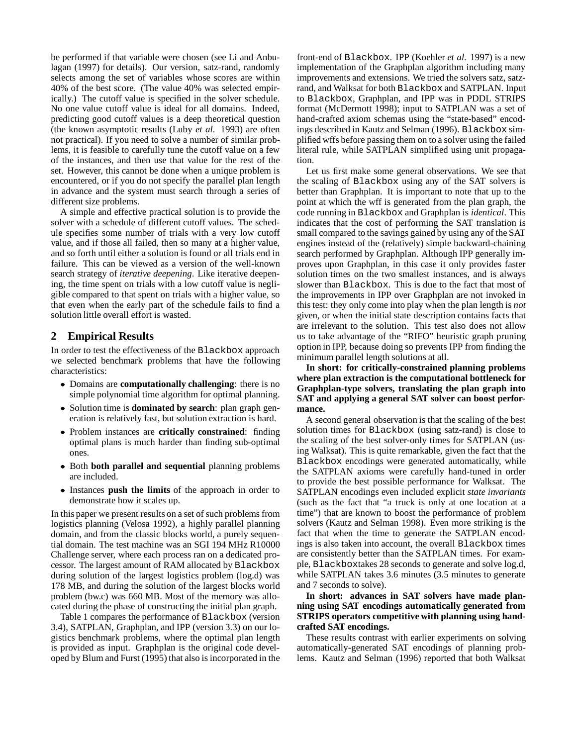be performed if that variable were chosen (see Li and Anbulagan (1997) for details). Our version, satz-rand, randomly selects among the set of variables whose scores are within 40% of the best score. (The value 40% was selected empirically.) The cutoff value is specified in the solver schedule. No one value cutoff value is ideal for all domains. Indeed, predicting good cutoff values is a deep theoretical question (the known asymptotic results (Luby *et al.* 1993) are often not practical). If you need to solve a number of similar problems, it is feasible to carefully tune the cutoff value on a few of the instances, and then use that value for the rest of the set. However, this cannot be done when a unique problem is encountered, or if you do not specify the parallel plan length in advance and the system must search through a series of different size problems.

A simple and effective practical solution is to provide the solver with a schedule of different cutoff values. The schedule specifies some number of trials with a very low cutoff value, and if those all failed, then so many at a higher value, and so forth until either a solution is found or all trials end in failure. This can be viewed as a version of the well-known search strategy of *iterative deepening*. Like iterative deepening, the time spent on trials with a low cutoff value is negligible compared to that spent on trials with a higher value, so that even when the early part of the schedule fails to find a solution little overall effort is wasted.

## **2 Empirical Results**

In order to test the effectiveness of the Blackbox approach we selected benchmark problems that have the following characteristics:

- Domains are **computationally challenging**: there is no simple polynomial time algorithm for optimal planning.
- Solution time is **dominated by search**: plan graph generation is relatively fast, but solution extraction is hard.
- Problem instances are **critically constrained**: finding optimal plans is much harder than finding sub-optimal ones.
- Both **both parallel and sequential** planning problems are included.
- Instances **push the limits** of the approach in order to demonstrate how it scales up.

In this paper we present results on a set of such problems from logistics planning (Velosa 1992), a highly parallel planning domain, and from the classic blocks world, a purely sequential domain. The test machine was an SGI 194 MHz R10000 Challenge server, where each process ran on a dedicated processor. The largest amount of RAM allocated by Blackbox during solution of the largest logistics problem (log.d) was 178 MB, and during the solution of the largest blocks world problem (bw.c) was 660 MB. Most of the memory was allocated during the phase of constructing the initial plan graph.

Table 1 compares the performance of Blackbox (version 3.4), SATPLAN, Graphplan, and IPP (version 3.3) on our logistics benchmark problems, where the optimal plan length is provided as input. Graphplan is the original code developed by Blum and Furst (1995) that also is incorporated in the front-end of Blackbox. IPP (Koehler *et al.* 1997) is a new implementation of the Graphplan algorithm including many improvements and extensions. We tried the solvers satz, satzrand, and Walksat for both Blackbox and SATPLAN. Input to Blackbox, Graphplan, and IPP was in PDDL STRIPS format (McDermott 1998); input to SATPLAN was a set of hand-crafted axiom schemas using the "state-based" encodings described in Kautz and Selman (1996). Blackbox simplified wffs before passing them on to a solver using the failed literal rule, while SATPLAN simplified using unit propagation.

Let us first make some general observations. We see that the scaling of Blackbox using any of the SAT solvers is better than Graphplan. It is important to note that up to the point at which the wff is generated from the plan graph, the code running in Blackbox and Graphplan is *identical*. This indicates that the cost of performing the SAT translation is small compared to the savings gained by using any of the SAT engines instead of the (relatively) simple backward-chaining search performed by Graphplan. Although IPP generally improves upon Graphplan, in this case it only provides faster solution times on the two smallest instances, and is always slower than Blackbox. This is due to the fact that most of the improvements in IPP over Graphplan are not invoked in this test: they only come into play when the plan length is *not* given, or when the initial state description contains facts that are irrelevant to the solution. This test also does not allow us to take advantage of the "RIFO" heuristic graph pruning option in IPP, because doing so prevents IPP from finding the minimum parallel length solutions at all.

**In short: for critically-constrained planning problems where plan extraction is the computational bottleneck for Graphplan-type solvers, translating the plan graph into SAT and applying a general SAT solver can boost performance.**

A second general observation is that the scaling of the best solution times for Blackbox (using satz-rand) is close to the scaling of the best solver-only times for SATPLAN (using Walksat). This is quite remarkable, given the fact that the Blackbox encodings were generated automatically, while the SATPLAN axioms were carefully hand-tuned in order to provide the best possible performance for Walksat. The SATPLAN encodings even included explicit *state invariants* (such as the fact that "a truck is only at one location at a time") that are known to boost the performance of problem solvers (Kautz and Selman 1998). Even more striking is the fact that when the time to generate the SATPLAN encodings is also taken into account, the overall Blackbox times are consistently better than the SATPLAN times. For example, Blackboxtakes 28 seconds to generate and solve log.d, while SATPLAN takes 3.6 minutes (3.5 minutes to generate and 7 seconds to solve).

#### **In short: advances in SAT solvers have made planning using SAT encodings automatically generated from STRIPS operators competitive with planning using handcrafted SAT encodings.**

These results contrast with earlier experiments on solving automatically-generated SAT encodings of planning problems. Kautz and Selman (1996) reported that both Walksat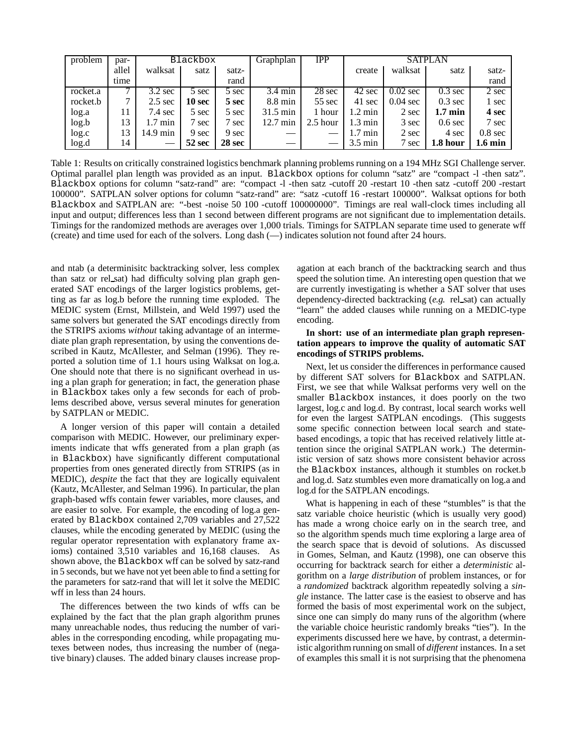| problem  | par-  | Blackbox           |               |               | Graphplan          | <b>IPP</b> | <b>SATPLAN</b>    |                    |                   |                   |
|----------|-------|--------------------|---------------|---------------|--------------------|------------|-------------------|--------------------|-------------------|-------------------|
|          | allel | walksat            | satz          | satz-         |                    |            | create            | walksat            | satz              | satz-             |
|          | time  |                    |               | rand          |                    |            |                   |                    |                   | rand              |
| rocket.a |       | $3.2 \text{ sec}$  | 5 sec         | 5 sec         | $3.4 \text{ min}$  | 28 sec     | 42 sec            | $0.02$ sec         | $0.3 \text{ sec}$ | 2 sec             |
| rocket.b | 7     | $2.5 \text{ sec}$  | <b>10 sec</b> | 5 sec         | $8.8 \text{ min}$  | $55$ sec   | 41 sec            | $0.04 \text{ sec}$ | $0.3 \text{ sec}$ | 1 sec             |
| log.a    | 11    | $7.4 \text{ sec}$  | 5 sec         | 5 sec         | $31.5 \text{ min}$ | 1 hour     | $1.2 \text{ min}$ | 2 sec              | $1.7 \text{ min}$ | 4 sec             |
| log.b    | 13    | $1.7 \text{ min}$  | sec           | 7 sec         | $12.7 \text{ min}$ | $2.5$ hour | $1.3 \text{ min}$ | 3 sec              | $0.6$ sec         | 7 sec             |
| log.c    | 13    | $14.9 \text{ min}$ | 9 sec         | 9 sec         |                    |            | $1.7 \text{ min}$ | 2 sec              | 4 sec             | $0.8 \text{ sec}$ |
| log.d    | 14    |                    | 52 sec        | <b>28 sec</b> |                    |            | $3.5 \text{ min}$ | sec                | 1.8 hour          | $1.6 \text{ min}$ |

Table 1: Results on critically constrained logistics benchmark planning problems running on a 194 MHz SGI Challenge server. Optimal parallel plan length was provided as an input. Blackbox options for column "satz" are "compact -l -then satz". Blackbox options for column "satz-rand" are: "compact -l -then satz -cutoff 20 -restart 10 -then satz -cutoff 200 -restart 100000". SATPLAN solver options for column "satz-rand" are: "satz -cutoff 16 -restart 100000". Walksat options for both Blackbox and SATPLAN are: "-best -noise 50 100 -cutoff 100000000". Timings are real wall-clock times including all input and output; differences less than 1 second between different programs are not significant due to implementation details. Timings for the randomized methods are averages over 1,000 trials. Timings for SATPLAN separate time used to generate wff (create) and time used for each of the solvers. Long dash (—) indicates solution not found after 24 hours.

and ntab (a determinisitc backtracking solver, less complex than satz or rel sat) had difficulty solving plan graph generated SAT encodings of the larger logistics problems, getting as far as log.b before the running time exploded. The MEDIC system (Ernst, Millstein, and Weld 1997) used the same solvers but generated the SAT encodings directly from the STRIPS axioms *without* taking advantage of an intermediate plan graph representation, by using the conventions described in Kautz, McAllester, and Selman (1996). They reported a solution time of 1.1 hours using Walksat on log.a. One should note that there is no significant overhead in using a plan graph for generation; in fact, the generation phase in Blackbox takes only a few seconds for each of problems described above, versus several minutes for generation by SATPLAN or MEDIC.

A longer version of this paper will contain a detailed comparison with MEDIC. However, our preliminary experiments indicate that wffs generated from a plan graph (as in Blackbox) have significantly different computational properties from ones generated directly from STRIPS (as in MEDIC), *despite* the fact that they are logically equivalent (Kautz, McAllester, and Selman 1996). In particular, the plan graph-based wffs contain fewer variables, more clauses, and are easier to solve. For example, the encoding of log.a generated by Blackbox contained 2,709 variables and 27,522 clauses, while the encoding generated by MEDIC (using the regular operator representation with explanatory frame axioms) contained 3,510 variables and 16,168 clauses. As shown above, the Blackbox wff can be solved by satz-rand in 5 seconds, but we have not yet been able to find a setting for the parameters for satz-rand that will let it solve the MEDIC wff in less than 24 hours.

The differences between the two kinds of wffs can be explained by the fact that the plan graph algorithm prunes many unreachable nodes, thus reducing the number of variables in the corresponding encoding, while propagating mutexes between nodes, thus increasing the number of (negative binary) clauses. The added binary clauses increase propagation at each branch of the backtracking search and thus speed the solution time. An interesting open question that we are currently investigating is whether a SAT solver that uses dependency-directed backtracking (*e.g.* rel sat) can actually "learn" the added clauses while running on a MEDIC-type encoding.

#### **In short: use of an intermediate plan graph representation appears to improve the quality of automatic SAT encodings of STRIPS problems.**

Next, let us consider the differences in performance caused by different SAT solvers for Blackbox and SATPLAN. First, we see that while Walksat performs very well on the smaller Blackbox instances, it does poorly on the two largest, log.c and log.d. By contrast, local search works well for even the largest SATPLAN encodings. (This suggests some specific connection between local search and statebased encodings, a topic that has received relatively little attention since the original SATPLAN work.) The deterministic version of satz shows more consistent behavior across the Blackbox instances, although it stumbles on rocket.b and log.d. Satz stumbles even more dramatically on log.a and log.d for the SATPLAN encodings.

What is happening in each of these "stumbles" is that the satz variable choice heuristic (which is usually very good) has made a wrong choice early on in the search tree, and so the algorithm spends much time exploring a large area of the search space that is devoid of solutions. As discussed in Gomes, Selman, and Kautz (1998), one can observe this occurring for backtrack search for either a *deterministic* algorithm on a *large distribution* of problem instances, or for a *randomized* backtrack algorithm repeatedly solving a *single* instance. The latter case is the easiest to observe and has formed the basis of most experimental work on the subject, since one can simply do many runs of the algorithm (where the variable choice heuristic randomly breaks "ties"). In the experiments discussed here we have, by contrast, a deterministic algorithm running on small of *different* instances. In a set of examples this small it is not surprising that the phenomena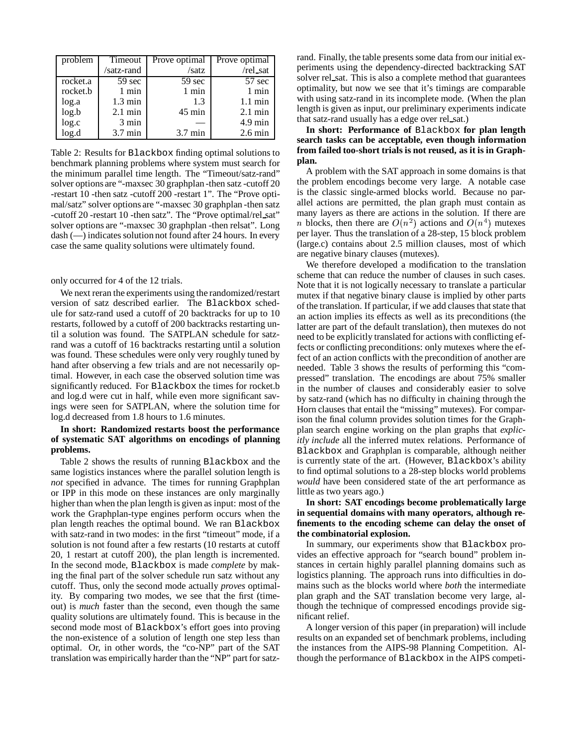| problem  | Timeout           | Prove optimal     | Prove optimal     |
|----------|-------------------|-------------------|-------------------|
|          | /satz-rand        | /satz             | /rel_sat          |
| rocket.a | 59 sec            | 59 sec            | 57 sec            |
| rocket.b | $1$ min           | $1$ min           | 1 min             |
| log.a    | $1.3 \text{ min}$ | 1.3               | $1.1 \text{ min}$ |
| log.b    | $2.1 \text{ min}$ | $45 \text{ min}$  | $2.1 \text{ min}$ |
| log.c    | 3 min             |                   | $4.9 \text{ min}$ |
| log.d    | 3.7 min           | $3.7 \text{ min}$ | $2.6 \text{ min}$ |

Table 2: Results for Blackbox finding optimal solutions to benchmark planning problems where system must search for the minimum parallel time length. The "Timeout/satz-rand" solver options are "-maxsec 30 graphplan -then satz -cutoff 20 -restart 10 -then satz -cutoff 200 -restart 1". The "Prove optimal/satz" solver options are "-maxsec 30 graphplan -then satz -cutoff 20 -restart 10 -then satz". The "Prove optimal/rel sat" solver options are "-maxsec 30 graphplan -then relsat". Long dash (—) indicates solution not found after 24 hours. In every case the same quality solutions were ultimately found.

only occurred for 4 of the 12 trials.

We next reran the experiments using the randomized/restart version of satz described earlier. The Blackbox schedule for satz-rand used a cutoff of 20 backtracks for up to 10 restarts, followed by a cutoff of 200 backtracks restarting until a solution was found. The SATPLAN schedule for satzrand was a cutoff of 16 backtracks restarting until a solution was found. These schedules were only very roughly tuned by hand after observing a few trials and are not necessarily optimal. However, in each case the observed solution time was significantly reduced. For Blackbox the times for rocket.b and log.d were cut in half, while even more significant savings were seen for SATPLAN, where the solution time for log.d decreased from 1.8 hours to 1.6 minutes.

#### **In short: Randomized restarts boost the performance of systematic SAT algorithms on encodings of planning problems.**

Table 2 shows the results of running Blackbox and the same logistics instances where the parallel solution length is *not* specified in advance. The times for running Graphplan or IPP in this mode on these instances are only marginally higher than when the plan length is given as input: most of the work the Graphplan-type engines perform occurs when the plan length reaches the optimal bound. We ran Blackbox with satz-rand in two modes: in the first "timeout" mode, if a solution is not found after a few restarts (10 restarts at cutoff 20, 1 restart at cutoff 200), the plan length is incremented. In the second mode, Blackbox is made *complete* by making the final part of the solver schedule run satz without any cutoff. Thus, only the second mode actually *proves* optimality. By comparing two modes, we see that the first (timeout) is *much* faster than the second, even though the same quality solutions are ultimately found. This is because in the second mode most of Blackbox's effort goes into proving the non-existence of a solution of length one step less than optimal. Or, in other words, the "co-NP" part of the SAT translation was empirically harder than the "NP" part for satzrand. Finally, the table presents some data from our initial experiments using the dependency-directed backtracking SAT solver rel sat. This is also a complete method that guarantees optimality, but now we see that it's timings are comparable with using satz-rand in its incomplete mode. (When the plan length is given as input, our preliminary experiments indicate that satz-rand usually has a edge over rel sat.)

#### **In short: Performance of** Blackbox **for plan length search tasks can be acceptable, even though information from failed too-short trials is not reused, as it is in Graphplan.**

A problem with the SAT approach in some domains is that the problem encodings become very large. A notable case is the classic single-armed blocks world. Because no parallel actions are permitted, the plan graph must contain as many layers as there are actions in the solution. If there are *n* blocks, then there are  $O(n^2)$  actions and  $O(n^4)$  mutexes per layer. Thus the translation of a 28-step, 15 block problem (large.c) contains about 2.5 million clauses, most of which are negative binary clauses (mutexes).

We therefore developed a modification to the translation scheme that can reduce the number of clauses in such cases. Note that it is not logically necessary to translate a particular mutex if that negative binary clause is implied by other parts of the translation. If particular, if we add clauses that state that an action implies its effects as well as its preconditions (the latter are part of the default translation), then mutexes do not need to be explicitly translated for actions with conflicting effects or conflicting preconditions: only mutexes where the effect of an action conflicts with the precondition of another are needed. Table 3 shows the results of performing this "compressed" translation. The encodings are about 75% smaller in the number of clauses and considerably easier to solve by satz-rand (which has no difficulty in chaining through the Horn clauses that entail the "missing" mutexes). For comparison the final column provides solution times for the Graphplan search engine working on the plan graphs that *explicitly include* all the inferred mutex relations. Performance of Blackbox and Graphplan is comparable, although neither is currently state of the art. (However, Blackbox's ability to find optimal solutions to a 28-step blocks world problems *would* have been considered state of the art performance as little as two years ago.)

#### **In short: SAT encodings become problematically large in sequential domains with many operators, although refinements to the encoding scheme can delay the onset of the combinatorial explosion.**

In summary, our experiments show that Blackbox provides an effective approach for "search bound" problem instances in certain highly parallel planning domains such as logistics planning. The approach runs into difficulties in domains such as the blocks world where *both* the intermediate plan graph and the SAT translation become very large, although the technique of compressed encodings provide significant relief.

A longer version of this paper (in preparation) will include results on an expanded set of benchmark problems, including the instances from the AIPS-98 Planning Competition. Although the performance of Blackbox in the AIPS competi-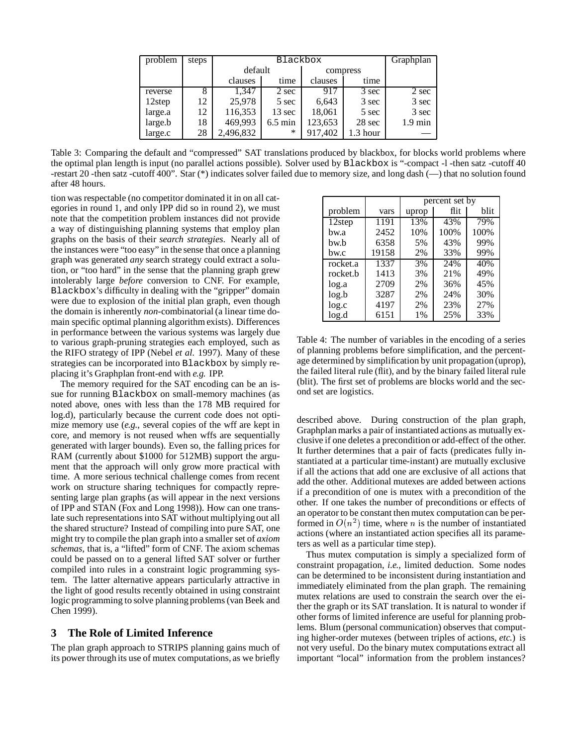| problem | steps |           | $\overline{Graph}$ |          |          |                   |
|---------|-------|-----------|--------------------|----------|----------|-------------------|
|         |       | default   |                    | compress |          |                   |
|         |       | clauses   | time               | clauses  | time     |                   |
| reverse | 8     | 1.347     | 2 sec              | 917      | 3 sec    | 2 sec             |
| 12step  | 12    | 25,978    | 5 sec              | 6,643    | 3 sec    | 3 sec             |
| large.a | 12    | 116,353   | 13 sec             | 18,061   | 5 sec    | 3 sec             |
| large.b | 18    | 469,993   | $6.5 \text{ min}$  | 123,653  | 28 sec   | $1.9 \text{ min}$ |
| large.c | 28    | 2,496,832 | ∗                  | 917,402  | 1.3 hour |                   |

Table 3: Comparing the default and "compressed" SAT translations produced by blackbox, for blocks world problems where the optimal plan length is input (no parallel actions possible). Solver used by Blackbox is "-compact -l -then satz -cutoff 40 -restart 20 -then satz -cutoff 400". Star (\*) indicates solver failed due to memory size, and long dash (—) that no solution found after 48 hours.

tion was respectable (no competitor dominated it in on all categories in round 1, and only IPP did so in round 2), we must note that the competition problem instances did not provide a way of distinguishing planning systems that employ plan graphs on the basis of their *search strategies*. Nearly all of the instances were "too easy" in the sense that once a planning graph was generated *any* search strategy could extract a solution, or "too hard" in the sense that the planning graph grew intolerably large *before* conversion to CNF. For example, Blackbox's difficulty in dealing with the "gripper" domain were due to explosion of the initial plan graph, even though the domain is inherently *non*-combinatorial (a linear time domain specific optimal planning algorithm exists). Differences in performance between the various systems was largely due to various graph-pruning strategies each employed, such as the RIFO strategy of IPP (Nebel *et al.* 1997). Many of these strategies can be incorporated into Blackbox by simply replacing it's Graphplan front-end with *e.g.* IPP.

The memory required for the SAT encoding can be an issue for running Blackbox on small-memory machines (as noted above, ones with less than the 178 MB required for log.d), particularly because the current code does not optimize memory use (*e.g.*, several copies of the wff are kept in core, and memory is not reused when wffs are sequentially generated with larger bounds). Even so, the falling prices for RAM (currently about \$1000 for 512MB) support the argument that the approach will only grow more practical with time. A more serious technical challenge comes from recent work on structure sharing techniques for compactly representing large plan graphs (as will appear in the next versions of IPP and STAN (Fox and Long 1998)). How can one translate such representations into SAT without multiplying out all the shared structure? Instead of compiling into pure SAT, one might try to compile the plan graph into a smaller set of *axiom schemas*, that is, a "lifted" form of CNF. The axiom schemas could be passed on to a general lifted SAT solver or further compiled into rules in a constraint logic programming system. The latter alternative appears particularly attractive in the light of good results recently obtained in using constraint logic programming to solve planning problems (van Beek and Chen 1999).

## **3 The Role of Limited Inference**

The plan graph approach to STRIPS planning gains much of its power through its use of mutex computations, as we briefly

|          |       | percent set by |      |      |  |  |
|----------|-------|----------------|------|------|--|--|
| problem  | vars  | uprop          | flit | blit |  |  |
| 12step   | 1191  | 13%            | 43%  | 79%  |  |  |
| bw.a     | 2452  | 10%            | 100% | 100% |  |  |
| bw.b     | 6358  | 5%             | 43%  | 99%  |  |  |
| bw.c     | 19158 | 2%             | 33%  | 99%  |  |  |
| rocket.a | 1337  | 3%             | 24%  | 40%  |  |  |
| rocket.b | 1413  | 3%             | 21%  | 49%  |  |  |
| log.a    | 2709  | 2%             | 36%  | 45%  |  |  |
| log.b    | 3287  | 2%             | 24%  | 30%  |  |  |
| log.c    | 4197  | 2%             | 23%  | 27%  |  |  |
| log.d    | 6151  | 1%             | 25%  | 33%  |  |  |

Table 4: The number of variables in the encoding of a series of planning problems before simplification, and the percentage determined by simplification by unit propagation (uprop), the failed literal rule (flit), and by the binary failed literal rule (blit). The first set of problems are blocks world and the second set are logistics.

described above. During construction of the plan graph, Graphplan marks a pair of instantiated actions as mutually exclusive if one deletes a precondition or add-effect of the other. It further determines that a pair of facts (predicates fully instantiated at a particular time-instant) are mutually exclusive if all the actions that add one are exclusive of all actions that add the other. Additional mutexes are added between actions if a precondition of one is mutex with a precondition of the other. If one takes the number of preconditions or effects of an operator to be constant then mutex computation can be performed in  $O(n^2)$  time, where n is the number of instantiated actions (where an instantiated action specifies all its parameters as well as a particular time step).

Thus mutex computation is simply a specialized form of constraint propagation, *i.e.,* limited deduction. Some nodes can be determined to be inconsistent during instantiation and immediately eliminated from the plan graph. The remaining mutex relations are used to constrain the search over the either the graph or its SAT translation. It is natural to wonder if other forms of limited inference are useful for planning problems. Blum (personal communication) observes that computing higher-order mutexes (between triples of actions, *etc.*) is not very useful. Do the binary mutex computations extract all important "local" information from the problem instances?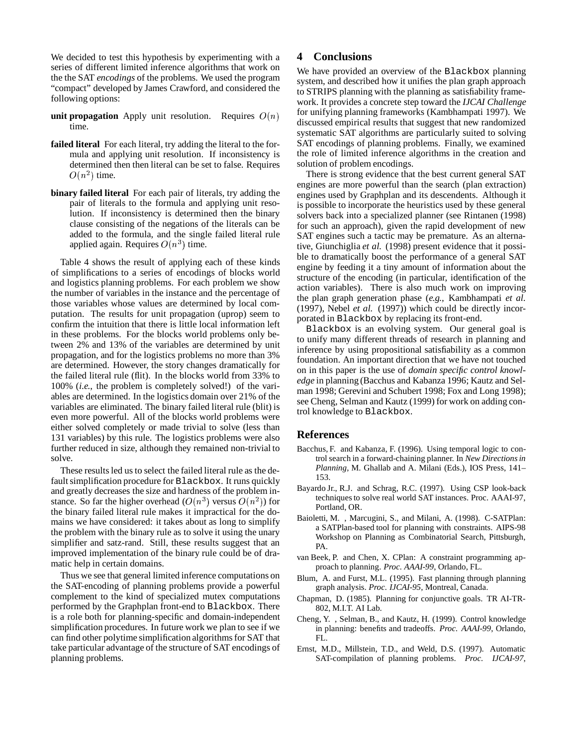We decided to test this hypothesis by experimenting with a series of different limited inference algorithms that work on the the SAT *encodings* of the problems. We used the program "compact" developed by James Crawford, and considered the following options:

- **unit propagation** Apply unit resolution. Requires  $O(n)$ time.
- **failed literal** For each literal, try adding the literal to the formula and applying unit resolution. If inconsistency is determined then then literal can be set to false. Requires  $O(n^2)$  time.
- **binary failed literal** For each pair of literals, try adding the pair of literals to the formula and applying unit resolution. If inconsistency is determined then the binary clause consisting of the negations of the literals can be added to the formula, and the single failed literal rule applied again. Requires  $O(n^3)$  time.

Table 4 shows the result of applying each of these kinds of simplifications to a series of encodings of blocks world and logistics planning problems. For each problem we show the number of variables in the instance and the percentage of those variables whose values are determined by local computation. The results for unit propagation (uprop) seem to confirm the intuition that there is little local information left in these problems. For the blocks world problems only between 2% and 13% of the variables are determined by unit propagation, and for the logistics problems no more than 3% are determined. However, the story changes dramatically for the failed literal rule (flit). In the blocks world from 33% to 100% (*i.e.*, the problem is completely solved!) of the variables are determined. In the logistics domain over 21% of the variables are eliminated. The binary failed literal rule (blit) is even more powerful. All of the blocks world problems were either solved completely or made trivial to solve (less than 131 variables) by this rule. The logistics problems were also further reduced in size, although they remained non-trivial to solve.

These results led us to select the failed literal rule as the default simplification procedure for Blackbox. It runs quickly and greatly decreases the size and hardness of the problem instance. So far the higher overhead  $(O(n^3)$  versus  $O(n^2))$  for the binary failed literal rule makes it impractical for the domains we have considered: it takes about as long to simplify the problem with the binary rule as to solve it using the unary simplifier and satz-rand. Still, these results suggest that an improved implementation of the binary rule could be of dramatic help in certain domains.

Thus we see that general limited inference computations on the SAT-encoding of planning problems provide a powerful complement to the kind of specialized mutex computations performed by the Graphplan front-end to Blackbox. There is a role both for planning-specific and domain-independent simplification procedures. In future work we plan to see if we can find other polytime simplification algorithms for SAT that take particular advantage of the structure of SAT encodings of planning problems.

## **4 Conclusions**

We have provided an overview of the Blackbox planning system, and described how it unifies the plan graph approach to STRIPS planning with the planning as satisfiability framework. It provides a concrete step toward the *IJCAI Challenge* for unifying planning frameworks (Kambhampati 1997). We discussed empirical results that suggest that new randomized systematic SAT algorithms are particularly suited to solving SAT encodings of planning problems. Finally, we examined the role of limited inference algorithms in the creation and solution of problem encodings.

There is strong evidence that the best current general SAT engines are more powerful than the search (plan extraction) engines used by Graphplan and its descendents. Although it is possible to incorporate the heuristics used by these general solvers back into a specialized planner (see Rintanen (1998) for such an approach), given the rapid development of new SAT engines such a tactic may be premature. As an alternative, Giunchiglia *et al.* (1998) present evidence that it possible to dramatically boost the performance of a general SAT engine by feeding it a tiny amount of information about the structure of the encoding (in particular, identification of the action variables). There is also much work on improving the plan graph generation phase (*e.g.,* Kambhampati *et al.* (1997), Nebel *et al.* (1997)) which could be directly incorporated in Blackbox by replacing its front-end.

Blackbox is an evolving system. Our general goal is to unify many different threads of research in planning and inference by using propositional satisfiability as a common foundation. An important direction that we have not touched on in this paper is the use of *domain specific control knowledge* in planning (Bacchus and Kabanza 1996; Kautz and Selman 1998; Gerevini and Schubert 1998; Fox and Long 1998); see Cheng, Selman and Kautz (1999) for work on adding control knowledge to Blackbox.

### **References**

- Bacchus, F. and Kabanza, F. (1996). Using temporal logic to control search in a forward-chaining planner. In *New Directions in Planning*, M. Ghallab and A. Milani (Eds.), IOS Press, 141– 153.
- Bayardo Jr., R.J. and Schrag, R.C. (1997). Using CSP look-back techniques to solve real world SAT instances. Proc. AAAI-97, Portland, OR.
- Baioletti, M. , Marcugini, S., and Milani, A. (1998). C-SATPlan: a SATPlan-based tool for planning with constraints. AIPS-98 Workshop on Planning as Combinatorial Search, Pittsburgh, PA.
- van Beek, P. and Chen, X. CPlan: A constraint programming approach to planning. *Proc. AAAI-99*, Orlando, FL.
- Blum, A. and Furst, M.L. (1995). Fast planning through planning graph analysis. *Proc. IJCAI-95*, Montreal, Canada.
- Chapman, D. (1985). Planning for conjunctive goals. TR AI-TR-802, M.I.T. AI Lab.
- Cheng, Y. , Selman, B., and Kautz, H. (1999). Control knowledge in planning: benefits and tradeoffs. *Proc. AAAI-99*, Orlando, FL.
- Ernst, M.D., Millstein, T.D., and Weld, D.S. (1997). Automatic SAT-compilation of planning problems. *Proc. IJCAI-97*,